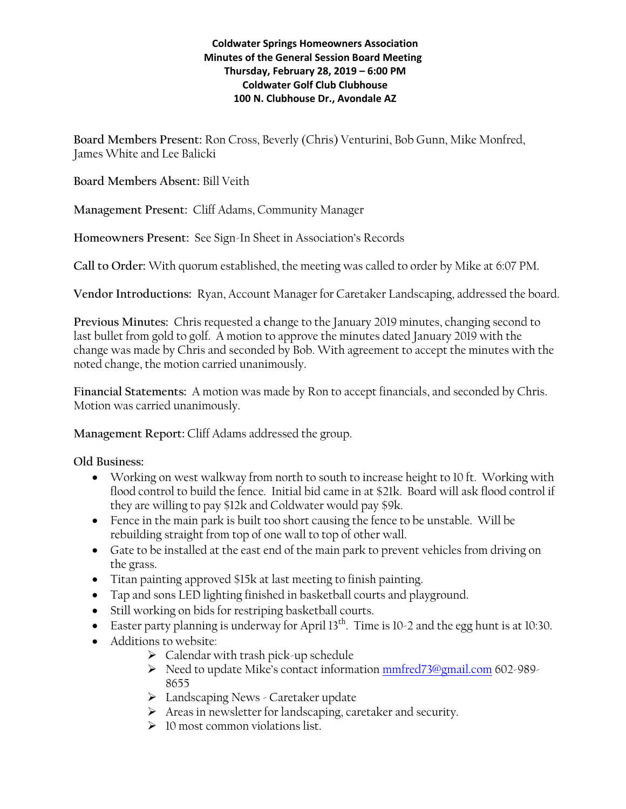## **Coldwater Springs Homeowners Association Minutes of the General Session Board Meeting Thursday, February 28, 2019 – 6:00 PM Coldwater Golf Club Clubhouse 100 N. Clubhouse Dr., Avondale AZ**

**Board Members Present:** Ron Cross, Beverly (Chris) Venturini, Bob Gunn, Mike Monfred, James White and Lee Balicki

**Board Members Absent:** Bill Veith

**Management Present:** Cliff Adams, Community Manager

**Homeowners Present:** See Sign-In Sheet in Association's Records

**Call to Order:** With quorum established, the meeting was called to order by Mike at 6:07 PM.

**Vendor Introductions:** Ryan, Account Manager for Caretaker Landscaping, addressed the board.

**Previous Minutes:** Chris requested a **c**hange to the January 2019 minutes, changing second to last bullet from gold to golf. A motion to approve the minutes dated January 2019 with the change was made by Chris and seconded by Bob. With agreement to accept the minutes with the noted change, the motion carried unanimously.

**Financial Statements:** A motion was made by Ron to accept financials, and seconded by Chris. Motion was carried unanimously.

**Management Report:** Cliff Adams addressed the group.

# **Old Business:**

- Working on west walkway from north to south to increase height to 10 ft. Working with flood control to build the fence. Initial bid came in at \$21k. Board will ask flood control if they are willing to pay \$12k and Coldwater would pay \$9k.
- Fence in the main park is built too short causing the fence to be unstable. Will be rebuilding straight from top of one wall to top of other wall.
- Gate to be installed at the east end of the main park to prevent vehicles from driving on the grass.
- Titan painting approved \$15k at last meeting to finish painting.
- Tap and sons LED lighting finished in basketball courts and playground.
- Still working on bids for restriping basketball courts.
- Easter party planning is underway for April 13<sup>th</sup>. Time is 10-2 and the egg hunt is at 10:30.
- Additions to website:
	- $\triangleright$  Calendar with trash pick-up schedule
	- Need to update Mike's contact information [mmfred73@gmail.com](mailto:mmfred73@gmail.com) 602-989- 8655
	- > Landscaping News Caretaker update
	- Areas in newsletter for landscaping, caretaker and security.
	- $\geq 10$  most common violations list.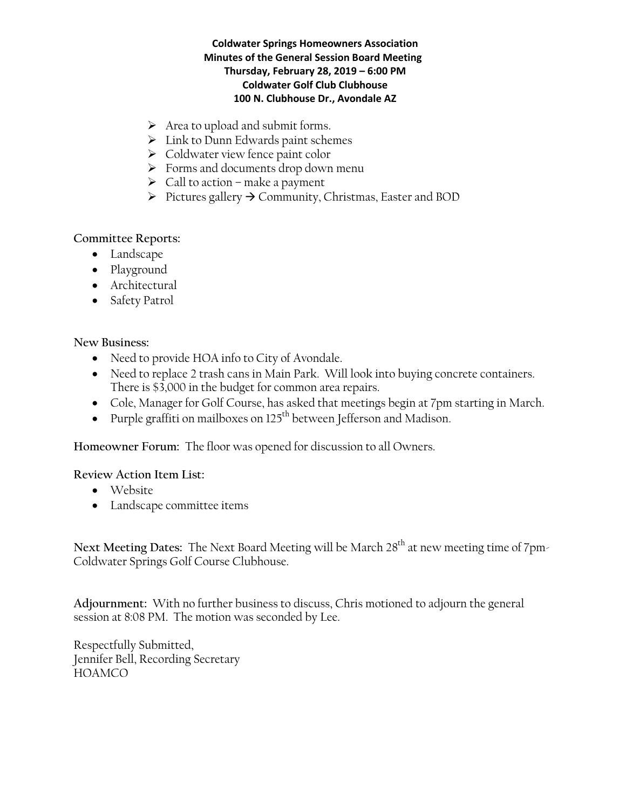## **Coldwater Springs Homeowners Association Minutes of the General Session Board Meeting Thursday, February 28, 2019 – 6:00 PM Coldwater Golf Club Clubhouse 100 N. Clubhouse Dr., Avondale AZ**

- $\triangleright$  Area to upload and submit forms.
- $\triangleright$  Link to Dunn Edwards paint schemes
- $\triangleright$  Coldwater view fence paint color
- > Forms and documents drop down menu
- $\triangleright$  Call to action make a payment
- $\triangleright$  Pictures gallery  $\rightarrow$  Community, Christmas, Easter and BOD

# **Committee Reports:**

- Landscape
- Playground
- Architectural
- Safety Patrol

# **New Business:**

- Need to provide HOA info to City of Avondale.
- Need to replace 2 trash cans in Main Park. Will look into buying concrete containers. There is \$3,000 in the budget for common area repairs.
- Cole, Manager for Golf Course, has asked that meetings begin at 7pm starting in March.
- Purple graffiti on mailboxes on  $125<sup>th</sup>$  between Jefferson and Madison.

**Homeowner Forum:** The floor was opened for discussion to all Owners.

**Review Action Item List:** 

- Website
- Landscape committee items

Next Meeting Dates: The Next Board Meeting will be March 28<sup>th</sup> at new meeting time of 7pm-Coldwater Springs Golf Course Clubhouse.

**Adjournment:** With no further business to discuss, Chris motioned to adjourn the general session at 8:08 PM. The motion was seconded by Lee.

Respectfully Submitted, Jennifer Bell, Recording Secretary HOAMCO